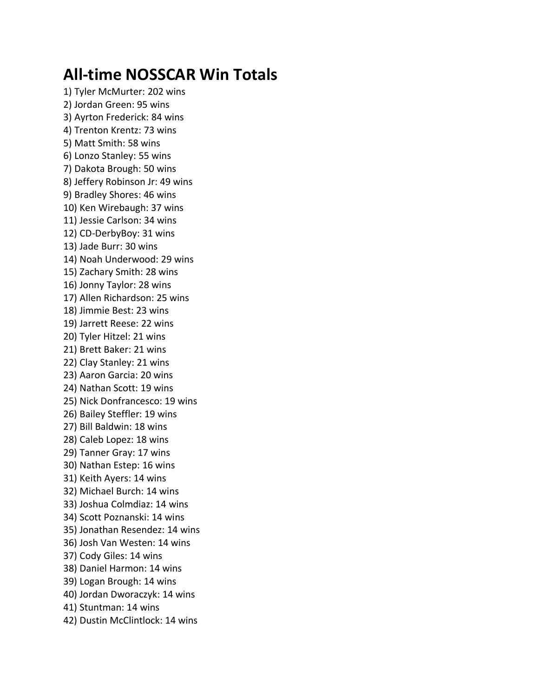## **All-time NOSSCAR Win Totals**

1) Tyler McMurter: 202 wins 2) Jordan Green: 95 wins 3) Ayrton Frederick: 84 wins 4) Trenton Krentz: 73 wins 5) Matt Smith: 58 wins 6) Lonzo Stanley: 55 wins 7) Dakota Brough: 50 wins 8) Jeffery Robinson Jr: 49 wins 9) Bradley Shores: 46 wins 10) Ken Wirebaugh: 37 wins 11) Jessie Carlson: 34 wins 12) CD-DerbyBoy: 31 wins 13) Jade Burr: 30 wins 14) Noah Underwood: 29 wins 15) Zachary Smith: 28 wins 16) Jonny Taylor: 28 wins 17) Allen Richardson: 25 wins 18) Jimmie Best: 23 wins 19) Jarrett Reese: 22 wins 20) Tyler Hitzel: 21 wins 21) Brett Baker: 21 wins 22) Clay Stanley: 21 wins 23) Aaron Garcia: 20 wins 24) Nathan Scott: 19 wins 25) Nick Donfrancesco: 19 wins 26) Bailey Steffler: 19 wins 27) Bill Baldwin: 18 wins 28) Caleb Lopez: 18 wins 29) Tanner Gray: 17 wins 30) Nathan Estep: 16 wins 31) Keith Ayers: 14 wins 32) Michael Burch: 14 wins 33) Joshua Colmdiaz: 14 wins 34) Scott Poznanski: 14 wins 35) Jonathan Resendez: 14 wins 36) Josh Van Westen: 14 wins 37) Cody Giles: 14 wins 38) Daniel Harmon: 14 wins 39) Logan Brough: 14 wins 40) Jordan Dworaczyk: 14 wins 41) Stuntman: 14 wins 42) Dustin McClintlock: 14 wins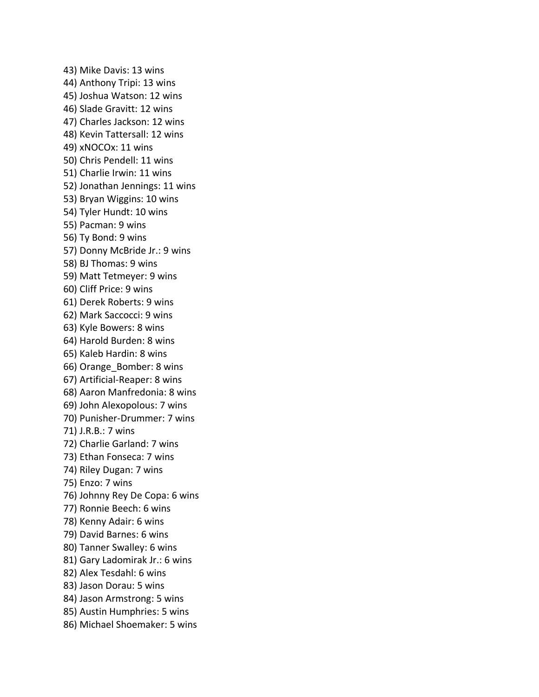43) Mike Davis: 13 wins 44) Anthony Tripi: 13 wins 45) Joshua Watson: 12 wins 46) Slade Gravitt: 12 wins 47) Charles Jackson: 12 wins 48) Kevin Tattersall: 12 wins 49) xNOCOx: 11 wins 50) Chris Pendell: 11 wins 51) Charlie Irwin: 11 wins 52) Jonathan Jennings: 11 wins 53) Bryan Wiggins: 10 wins 54) Tyler Hundt: 10 wins 55) Pacman: 9 wins 56) Ty Bond: 9 wins 57) Donny McBride Jr.: 9 wins 58) BJ Thomas: 9 wins 59) Matt Tetmeyer: 9 wins 60) Cliff Price: 9 wins 61) Derek Roberts: 9 wins 62) Mark Saccocci: 9 wins 63) Kyle Bowers: 8 wins 64) Harold Burden: 8 wins 65) Kaleb Hardin: 8 wins 66) Orange\_Bomber: 8 wins 67) Artificial-Reaper: 8 wins 68) Aaron Manfredonia: 8 wins 69) John Alexopolous: 7 wins 70) Punisher-Drummer: 7 wins 71) J.R.B.: 7 wins 72) Charlie Garland: 7 wins 73) Ethan Fonseca: 7 wins 74) Riley Dugan: 7 wins 75) Enzo: 7 wins 76) Johnny Rey De Copa: 6 wins 77) Ronnie Beech: 6 wins 78) Kenny Adair: 6 wins 79) David Barnes: 6 wins 80) Tanner Swalley: 6 wins 81) Gary Ladomirak Jr.: 6 wins 82) Alex Tesdahl: 6 wins 83) Jason Dorau: 5 wins 84) Jason Armstrong: 5 wins 85) Austin Humphries: 5 wins 86) Michael Shoemaker: 5 wins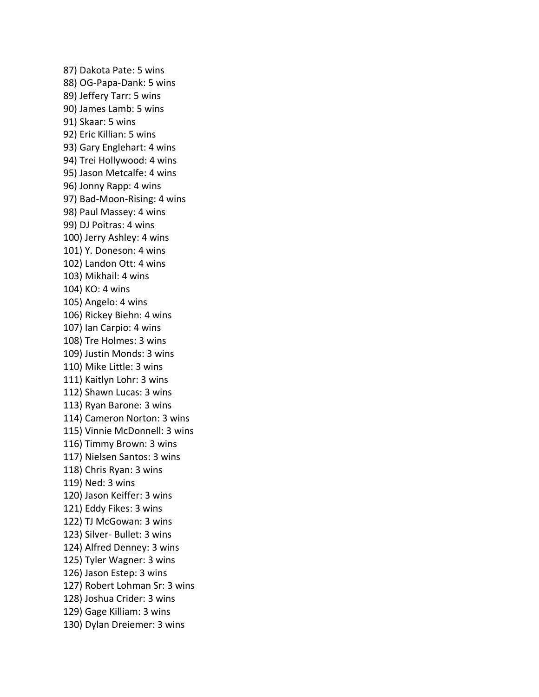87) Dakota Pate: 5 wins 88) OG-Papa-Dank: 5 wins 89) Jeffery Tarr: 5 wins 90) James Lamb: 5 wins 91) Skaar: 5 wins 92) Eric Killian: 5 wins 93) Gary Englehart: 4 wins 94) Trei Hollywood: 4 wins 95) Jason Metcalfe: 4 wins 96) Jonny Rapp: 4 wins 97) Bad-Moon-Rising: 4 wins 98) Paul Massey: 4 wins 99) DJ Poitras: 4 wins 100) Jerry Ashley: 4 wins 101) Y. Doneson: 4 wins 102) Landon Ott: 4 wins 103) Mikhail: 4 wins 104) KO: 4 wins 105) Angelo: 4 wins 106) Rickey Biehn: 4 wins 107) Ian Carpio: 4 wins 108) Tre Holmes: 3 wins 109) Justin Monds: 3 wins 110) Mike Little: 3 wins 111) Kaitlyn Lohr: 3 wins 112) Shawn Lucas: 3 wins 113) Ryan Barone: 3 wins 114) Cameron Norton: 3 wins 115) Vinnie McDonnell: 3 wins 116) Timmy Brown: 3 wins 117) Nielsen Santos: 3 wins 118) Chris Ryan: 3 wins 119) Ned: 3 wins 120) Jason Keiffer: 3 wins 121) Eddy Fikes: 3 wins 122) TJ McGowan: 3 wins 123) Silver- Bullet: 3 wins 124) Alfred Denney: 3 wins 125) Tyler Wagner: 3 wins 126) Jason Estep: 3 wins 127) Robert Lohman Sr: 3 wins 128) Joshua Crider: 3 wins 129) Gage Killiam: 3 wins 130) Dylan Dreiemer: 3 wins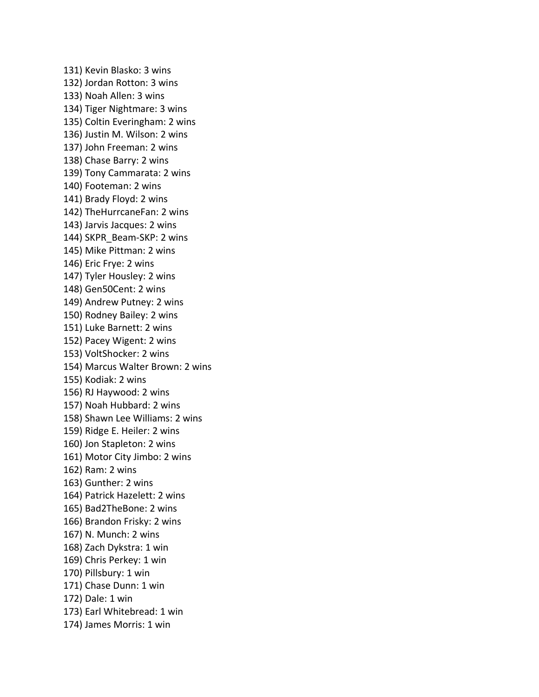131) Kevin Blasko: 3 wins 132) Jordan Rotton: 3 wins 133) Noah Allen: 3 wins 134) Tiger Nightmare: 3 wins 135) Coltin Everingham: 2 wins 136) Justin M. Wilson: 2 wins 137) John Freeman: 2 wins 138) Chase Barry: 2 wins 139) Tony Cammarata: 2 wins 140) Footeman: 2 wins 141) Brady Floyd: 2 wins 142) TheHurrcaneFan: 2 wins 143) Jarvis Jacques: 2 wins 144) SKPR\_Beam-SKP: 2 wins 145) Mike Pittman: 2 wins 146) Eric Frye: 2 wins 147) Tyler Housley: 2 wins 148) Gen50Cent: 2 wins 149) Andrew Putney: 2 wins 150) Rodney Bailey: 2 wins 151) Luke Barnett: 2 wins 152) Pacey Wigent: 2 wins 153) VoltShocker: 2 wins 154) Marcus Walter Brown: 2 wins 155) Kodiak: 2 wins 156) RJ Haywood: 2 wins 157) Noah Hubbard: 2 wins 158) Shawn Lee Williams: 2 wins 159) Ridge E. Heiler: 2 wins 160) Jon Stapleton: 2 wins 161) Motor City Jimbo: 2 wins 162) Ram: 2 wins 163) Gunther: 2 wins 164) Patrick Hazelett: 2 wins 165) Bad2TheBone: 2 wins 166) Brandon Frisky: 2 wins 167) N. Munch: 2 wins 168) Zach Dykstra: 1 win 169) Chris Perkey: 1 win 170) Pillsbury: 1 win 171) Chase Dunn: 1 win 172) Dale: 1 win 173) Earl Whitebread: 1 win 174) James Morris: 1 win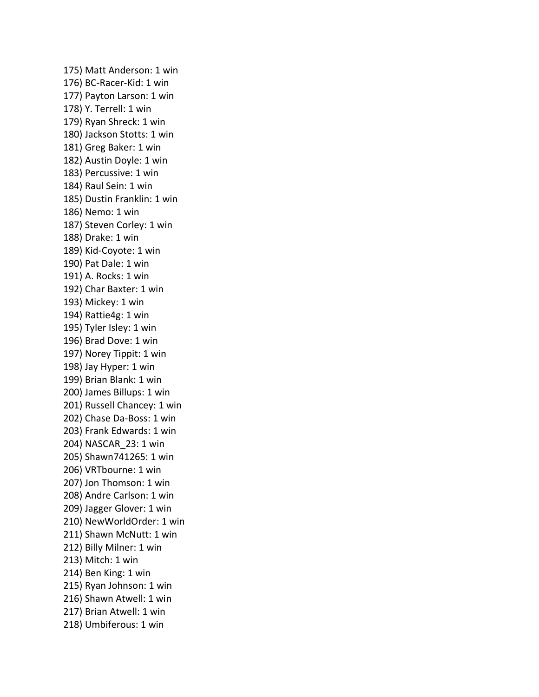175) Matt Anderson: 1 win 176) BC-Racer-Kid: 1 win 177) Payton Larson: 1 win 178) Y. Terrell: 1 win 179) Ryan Shreck: 1 win 180) Jackson Stotts: 1 win 181) Greg Baker: 1 win 182) Austin Doyle: 1 win 183) Percussive: 1 win 184) Raul Sein: 1 win 185) Dustin Franklin: 1 win 186) Nemo: 1 win 187) Steven Corley: 1 win 188) Drake: 1 win 189) Kid-Coyote: 1 win 190) Pat Dale: 1 win 191) A. Rocks: 1 win 192) Char Baxter: 1 win 193) Mickey: 1 win 194) Rattie4g: 1 win 195) Tyler Isley: 1 win 196) Brad Dove: 1 win 197) Norey Tippit: 1 win 198) Jay Hyper: 1 win 199) Brian Blank: 1 win 200) James Billups: 1 win 201) Russell Chancey: 1 win 202) Chase Da-Boss: 1 win 203) Frank Edwards: 1 win 204) NASCAR\_23: 1 win 205) Shawn741265: 1 win 206) VRTbourne: 1 win 207) Jon Thomson: 1 win 208) Andre Carlson: 1 win 209) Jagger Glover: 1 win 210) NewWorldOrder: 1 win 211) Shawn McNutt: 1 win 212) Billy Milner: 1 win 213) Mitch: 1 win 214) Ben King: 1 win 215) Ryan Johnson: 1 win 216) Shawn Atwell: 1 win 217) Brian Atwell: 1 win 218) Umbiferous: 1 win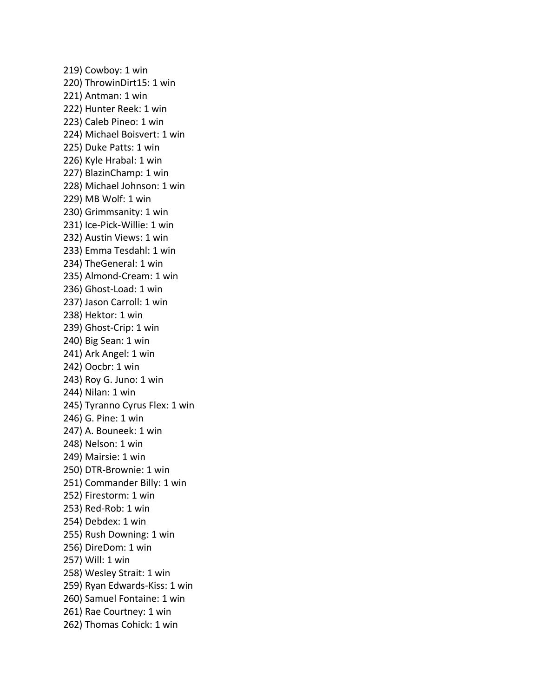219) Cowboy: 1 win 220) ThrowinDirt15: 1 win 221) Antman: 1 win 222) Hunter Reek: 1 win 223) Caleb Pineo: 1 win 224) Michael Boisvert: 1 win 225) Duke Patts: 1 win 226) Kyle Hrabal: 1 win 227) BlazinChamp: 1 win 228) Michael Johnson: 1 win 229) MB Wolf: 1 win 230) Grimmsanity: 1 win 231) Ice-Pick-Willie: 1 win 232) Austin Views: 1 win 233) Emma Tesdahl: 1 win 234) TheGeneral: 1 win 235) Almond-Cream: 1 win 236) Ghost-Load: 1 win 237) Jason Carroll: 1 win 238) Hektor: 1 win 239) Ghost-Crip: 1 win 240) Big Sean: 1 win 241) Ark Angel: 1 win 242) Oocbr: 1 win 243) Roy G. Juno: 1 win 244) Nilan: 1 win 245) Tyranno Cyrus Flex: 1 win 246) G. Pine: 1 win 247) A. Bouneek: 1 win 248) Nelson: 1 win 249) Mairsie: 1 win 250) DTR-Brownie: 1 win 251) Commander Billy: 1 win 252) Firestorm: 1 win 253) Red-Rob: 1 win 254) Debdex: 1 win 255) Rush Downing: 1 win 256) DireDom: 1 win 257) Will: 1 win 258) Wesley Strait: 1 win 259) Ryan Edwards-Kiss: 1 win 260) Samuel Fontaine: 1 win 261) Rae Courtney: 1 win 262) Thomas Cohick: 1 win